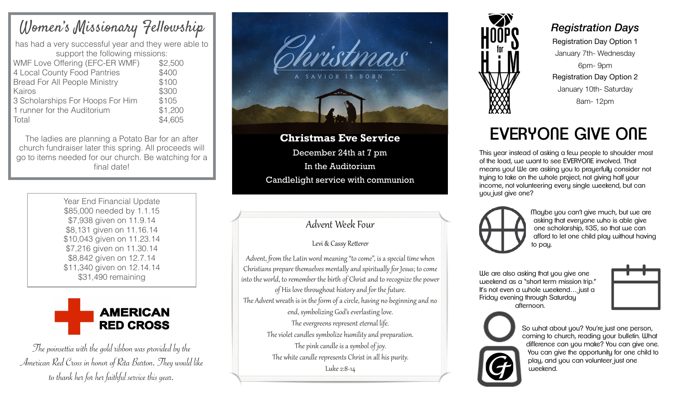## Women's Missionary Fellowship

has had a very successful year and they were able to support the following missions: WMF Love Offering (EFC-ER WMF) \$2,500 4 Local County Food Pantries \$400

Bread For All People Ministry \$100 Kairos \$300 3 Scholarships For Hoops For Him \$105 1 runner for the Auditorium \$1,200 Total \$4,605

The ladies are planning a Potato Bar for an after church fundraiser later this spring. All proceeds will go to items needed for our church. Be watching for a final date!

> Year End Financial Update \$85,000 needed by 1.1.15 \$7,938 given on 11.9.14 \$8,131 given on 11.16.14 \$10,043 given on 11.23.14 \$7,216 given on 11.30.14 \$8,842 given on 12.7.14 \$11,340 given on 12.14.14 \$31,490 remaining



The poinsettia with the gold ribbon was provided by the American Red Cross in honor of Rita Barton. They would like to thank her for her faithful service this year.



**Christmas Eve Service**  December 24th at 7 pm In the Auditorium Candlelight service with communion

### Advent Week Four

#### Levi & Cassy Retterer

Advent, from the Latin word meaning "to come", is a special time when Christians prepare themselves mentally and spiritually for Jesus; to come into the world, to remember the birth of Christ and to recognize the power of His love throughout history and for the future. The Advent wreath is in the form of a circle, having no beginning and no end, symbolizing God's everlasting love. The evergreens represent eternal life. The violet candles symbolize humility and preparation. The pink candle is a symbol of joy. The white candle represents Christ in all his purity. Luke 2:8-14



### *Registration Days*

Registration Day Option 1 January 7th- Wednesday 6pm- 9pm Registration Day Option 2 January 10th- Saturday 8am- 12pm

# EVERYONE GIVE ONE

This year instead of asking a few people to shoulder most of the load, we want to see EVERYONE involved. That means you! We are asking you to prayerfully consider not trying to take on the whole project, not giving half your income, not volunteering every single weekend, but can you just give one?



Maybe you can't give much, but we are asking that everyone who is able give one scholarship, \$35, so that we can afford to let one child play without having to pau.

We are also asking that you give one weekend as a "short term mission trip." It's not even a whole weekend... just a Friday evening through Saturday afternoon.





So what about you? You're just one person, coming to church, reading your bulletin. What difference can you make? You can give one. You can give the opportunity for one child to play, and you can volunteer just one weekend.